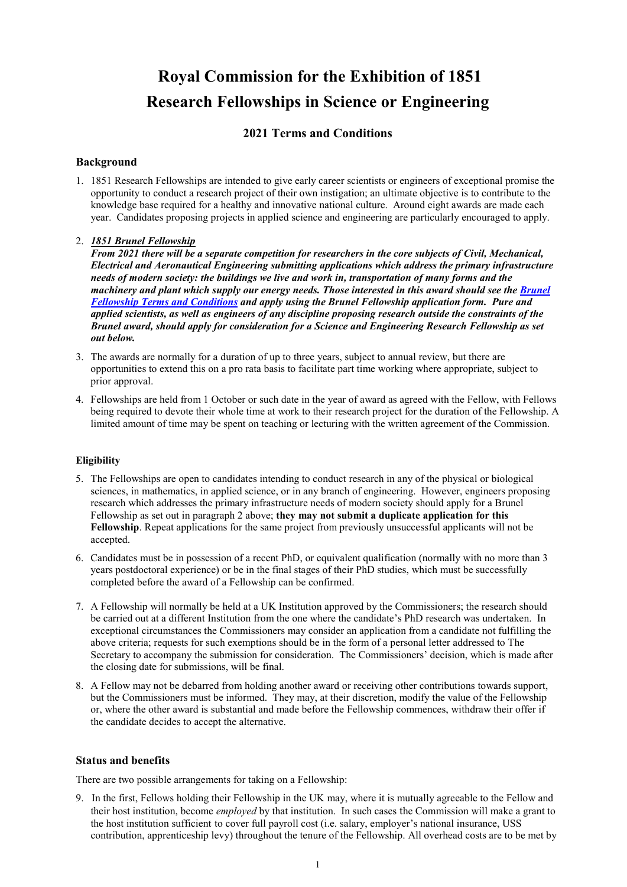# **Royal Commission for the Exhibition of 1851 Research Fellowships in Science or Engineering**

# **2021 Terms and Conditions**

# **Background**

1. 1851 Research Fellowships are intended to give early career scientists or engineers of exceptional promise the opportunity to conduct a research project of their own instigation; an ultimate objective is to contribute to the knowledge base required for a healthy and innovative national culture. Around eight awards are made each year. Candidates proposing projects in applied science and engineering are particularly encouraged to apply.

# 2. *1851 Brunel Fellowship*

*From 2021 there will be a separate competition for researchers in the core subjects of Civil, Mechanical, Electrical and Aeronautical Engineering submitting applications which address the primary infrastructure needs of modern society: the buildings we live and work in, transportation of many forms and the machinery and plant which supply our energy needs. Those interested in this award should see the Brunel [Fellowship Terms and Conditions](https://www.royalcommission1851.org/wp-content/uploads/2020/09/1851-BRUNEL-TCs-2021.pdf) and apply using the Brunel Fellowship application form. Pure and applied scientists, as well as engineers of any discipline proposing research outside the constraints of the Brunel award, should apply for consideration for a Science and Engineering Research Fellowship as set out below.*

- 3. The awards are normally for a duration of up to three years, subject to annual review, but there are opportunities to extend this on a pro rata basis to facilitate part time working where appropriate, subject to prior approval.
- 4. Fellowships are held from 1 October or such date in the year of award as agreed with the Fellow, with Fellows being required to devote their whole time at work to their research project for the duration of the Fellowship. A limited amount of time may be spent on teaching or lecturing with the written agreement of the Commission.

#### **Eligibility**

- 5. The Fellowships are open to candidates intending to conduct research in any of the physical or biological sciences, in mathematics, in applied science, or in any branch of engineering. However, engineers proposing research which addresses the primary infrastructure needs of modern society should apply for a Brunel Fellowship as set out in paragraph 2 above; **they may not submit a duplicate application for this Fellowship**. Repeat applications for the same project from previously unsuccessful applicants will not be accepted.
- 6. Candidates must be in possession of a recent PhD, or equivalent qualification (normally with no more than 3 years postdoctoral experience) or be in the final stages of their PhD studies, which must be successfully completed before the award of a Fellowship can be confirmed.
- 7. A Fellowship will normally be held at a UK Institution approved by the Commissioners; the research should be carried out at a different Institution from the one where the candidate's PhD research was undertaken. In exceptional circumstances the Commissioners may consider an application from a candidate not fulfilling the above criteria; requests for such exemptions should be in the form of a personal letter addressed to The Secretary to accompany the submission for consideration. The Commissioners' decision, which is made after the closing date for submissions, will be final.
- 8. A Fellow may not be debarred from holding another award or receiving other contributions towards support, but the Commissioners must be informed. They may, at their discretion, modify the value of the Fellowship or, where the other award is substantial and made before the Fellowship commences, withdraw their offer if the candidate decides to accept the alternative.

#### **Status and benefits**

There are two possible arrangements for taking on a Fellowship:

9. In the first, Fellows holding their Fellowship in the UK may, where it is mutually agreeable to the Fellow and their host institution, become *employed* by that institution. In such cases the Commission will make a grant to the host institution sufficient to cover full payroll cost (i.e. salary, employer's national insurance, USS contribution, apprenticeship levy) throughout the tenure of the Fellowship. All overhead costs are to be met by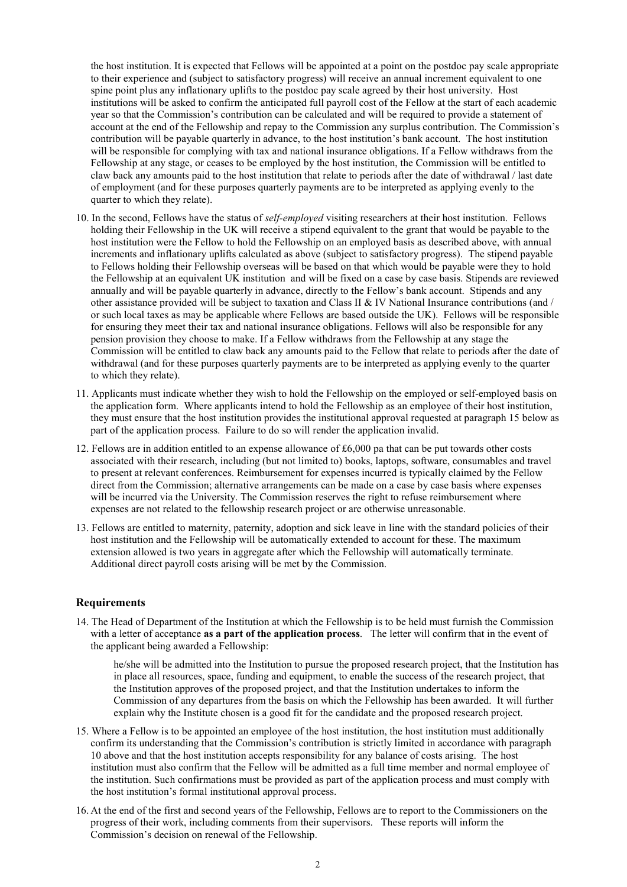the host institution. It is expected that Fellows will be appointed at a point on the postdoc pay scale appropriate to their experience and (subject to satisfactory progress) will receive an annual increment equivalent to one spine point plus any inflationary uplifts to the postdoc pay scale agreed by their host university. Host institutions will be asked to confirm the anticipated full payroll cost of the Fellow at the start of each academic year so that the Commission's contribution can be calculated and will be required to provide a statement of account at the end of the Fellowship and repay to the Commission any surplus contribution. The Commission's contribution will be payable quarterly in advance, to the host institution's bank account. The host institution will be responsible for complying with tax and national insurance obligations. If a Fellow withdraws from the Fellowship at any stage, or ceases to be employed by the host institution, the Commission will be entitled to claw back any amounts paid to the host institution that relate to periods after the date of withdrawal / last date of employment (and for these purposes quarterly payments are to be interpreted as applying evenly to the quarter to which they relate).

- 10. In the second, Fellows have the status of *self-employed* visiting researchers at their host institution. Fellows holding their Fellowship in the UK will receive a stipend equivalent to the grant that would be payable to the host institution were the Fellow to hold the Fellowship on an employed basis as described above, with annual increments and inflationary uplifts calculated as above (subject to satisfactory progress). The stipend payable to Fellows holding their Fellowship overseas will be based on that which would be payable were they to hold the Fellowship at an equivalent UK institution and will be fixed on a case by case basis. Stipends are reviewed annually and will be payable quarterly in advance, directly to the Fellow's bank account. Stipends and any other assistance provided will be subject to taxation and Class II & IV National Insurance contributions (and / or such local taxes as may be applicable where Fellows are based outside the UK). Fellows will be responsible for ensuring they meet their tax and national insurance obligations. Fellows will also be responsible for any pension provision they choose to make. If a Fellow withdraws from the Fellowship at any stage the Commission will be entitled to claw back any amounts paid to the Fellow that relate to periods after the date of withdrawal (and for these purposes quarterly payments are to be interpreted as applying evenly to the quarter to which they relate).
- 11. Applicants must indicate whether they wish to hold the Fellowship on the employed or self-employed basis on the application form. Where applicants intend to hold the Fellowship as an employee of their host institution, they must ensure that the host institution provides the institutional approval requested at paragraph 15 below as part of the application process. Failure to do so will render the application invalid.
- 12. Fellows are in addition entitled to an expense allowance of £6,000 pa that can be put towards other costs associated with their research, including (but not limited to) books, laptops, software, consumables and travel to present at relevant conferences. Reimbursement for expenses incurred is typically claimed by the Fellow direct from the Commission; alternative arrangements can be made on a case by case basis where expenses will be incurred via the University. The Commission reserves the right to refuse reimbursement where expenses are not related to the fellowship research project or are otherwise unreasonable.
- 13. Fellows are entitled to maternity, paternity, adoption and sick leave in line with the standard policies of their host institution and the Fellowship will be automatically extended to account for these. The maximum extension allowed is two years in aggregate after which the Fellowship will automatically terminate. Additional direct payroll costs arising will be met by the Commission.

#### **Requirements**

14. The Head of Department of the Institution at which the Fellowship is to be held must furnish the Commission with a letter of acceptance **as a part of the application process**. The letter will confirm that in the event of the applicant being awarded a Fellowship:

he/she will be admitted into the Institution to pursue the proposed research project, that the Institution has in place all resources, space, funding and equipment, to enable the success of the research project, that the Institution approves of the proposed project, and that the Institution undertakes to inform the Commission of any departures from the basis on which the Fellowship has been awarded. It will further explain why the Institute chosen is a good fit for the candidate and the proposed research project.

- 15. Where a Fellow is to be appointed an employee of the host institution, the host institution must additionally confirm its understanding that the Commission's contribution is strictly limited in accordance with paragraph 10 above and that the host institution accepts responsibility for any balance of costs arising. The host institution must also confirm that the Fellow will be admitted as a full time member and normal employee of the institution. Such confirmations must be provided as part of the application process and must comply with the host institution's formal institutional approval process.
- 16. At the end of the first and second years of the Fellowship, Fellows are to report to the Commissioners on the progress of their work, including comments from their supervisors. These reports will inform the Commission's decision on renewal of the Fellowship.